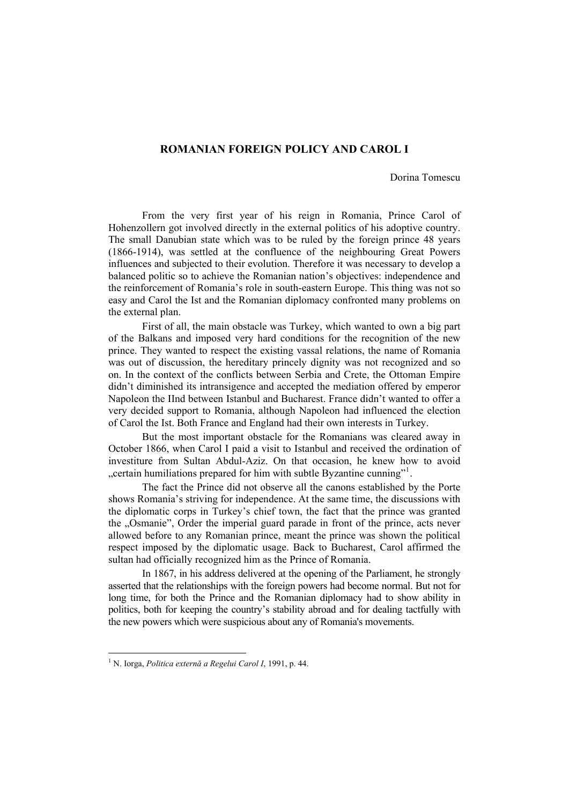## **ROMANIAN FOREIGN POLICY AND CAROL I**

Dorina Tomescu

From the very first year of his reign in Romania, Prince Carol of Hohenzollern got involved directly in the external politics of his adoptive country. The small Danubian state which was to be ruled by the foreign prince 48 years (1866-1914), was settled at the confluence of the neighbouring Great Powers influences and subjected to their evolution. Therefore it was necessary to develop a balanced politic so to achieve the Romanian nation's objectives: independence and the reinforcement of Romania's role in south-eastern Europe. This thing was not so easy and Carol the Ist and the Romanian diplomacy confronted many problems on the external plan.

First of all, the main obstacle was Turkey, which wanted to own a big part of the Balkans and imposed very hard conditions for the recognition of the new prince. They wanted to respect the existing vassal relations, the name of Romania was out of discussion, the hereditary princely dignity was not recognized and so on. In the context of the conflicts between Serbia and Crete, the Ottoman Empire didn't diminished its intransigence and accepted the mediation offered by emperor Napoleon the IInd between Istanbul and Bucharest. France didn't wanted to offer a very decided support to Romania, although Napoleon had influenced the election of Carol the Ist. Both France and England had their own interests in Turkey.

But the most important obstacle for the Romanians was cleared away in October 1866, when Carol I paid a visit to Istanbul and received the ordination of investiture from Sultan Abdul-Aziz. On that occasion, he knew how to avoid "certain humiliations prepared for him with subtle Byzantine cunning"<sup>[1](#page-0-0)</sup>.

The fact the Prince did not observe all the canons established by the Porte shows Romania's striving for independence. At the same time, the discussions with the diplomatic corps in Turkey's chief town, the fact that the prince was granted the "Osmanie", Order the imperial guard parade in front of the prince, acts never allowed before to any Romanian prince, meant the prince was shown the political respect imposed by the diplomatic usage. Back to Bucharest, Carol affirmed the sultan had officially recognized him as the Prince of Romania.

In 1867, in his address delivered at the opening of the Parliament, he strongly asserted that the relationships with the foreign powers had become normal. But not for long time, for both the Prince and the Romanian diplomacy had to show ability in politics, both for keeping the country's stability abroad and for dealing tactfully with the new powers which were suspicious about any of Romania's movements.

<span id="page-0-0"></span><sup>1</sup> N. Iorga, *Politica externă a Regelui Carol I*, 1991, p. 44.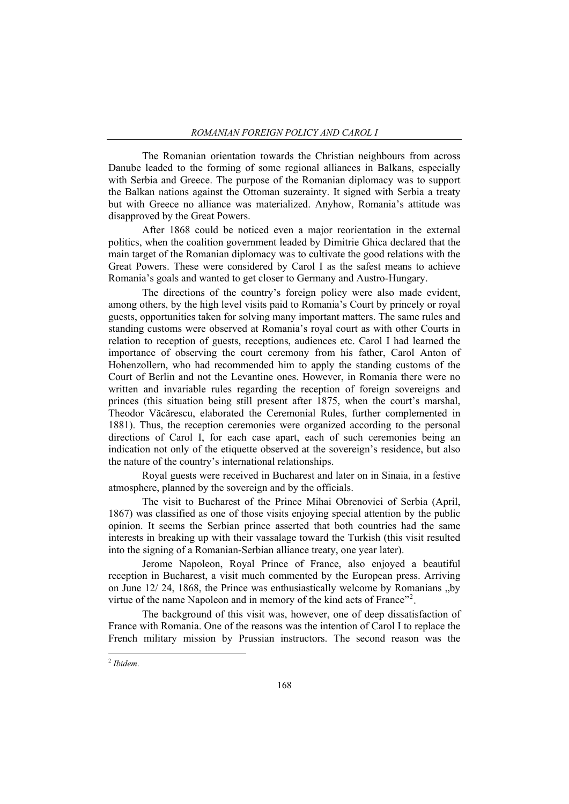The Romanian orientation towards the Christian neighbours from across Danube leaded to the forming of some regional alliances in Balkans, especially with Serbia and Greece. The purpose of the Romanian diplomacy was to support the Balkan nations against the Ottoman suzerainty. It signed with Serbia a treaty but with Greece no alliance was materialized. Anyhow, Romania's attitude was disapproved by the Great Powers.

After 1868 could be noticed even a major reorientation in the external politics, when the coalition government leaded by Dimitrie Ghica declared that the main target of the Romanian diplomacy was to cultivate the good relations with the Great Powers. These were considered by Carol I as the safest means to achieve Romania's goals and wanted to get closer to Germany and Austro-Hungary.

The directions of the country's foreign policy were also made evident, among others, by the high level visits paid to Romania's Court by princely or royal guests, opportunities taken for solving many important matters. The same rules and standing customs were observed at Romania's royal court as with other Courts in relation to reception of guests, receptions, audiences etc. Carol I had learned the importance of observing the court ceremony from his father, Carol Anton of Hohenzollern, who had recommended him to apply the standing customs of the Court of Berlin and not the Levantine ones. However, in Romania there were no written and invariable rules regarding the reception of foreign sovereigns and princes (this situation being still present after 1875, when the court's marshal, Theodor Văcărescu, elaborated the Ceremonial Rules, further complemented in 1881). Thus, the reception ceremonies were organized according to the personal directions of Carol I, for each case apart, each of such ceremonies being an indication not only of the etiquette observed at the sovereign's residence, but also the nature of the country's international relationships.

Royal guests were received in Bucharest and later on in Sinaia, in a festive atmosphere, planned by the sovereign and by the officials.

The visit to Bucharest of the Prince Mihai Obrenovici of Serbia (April, 1867) was classified as one of those visits enjoying special attention by the public opinion. It seems the Serbian prince asserted that both countries had the same interests in breaking up with their vassalage toward the Turkish (this visit resulted into the signing of a Romanian-Serbian alliance treaty, one year later).

Jerome Napoleon, Royal Prince of France, also enjoyed a beautiful reception in Bucharest, a visit much commented by the European press. Arriving on June  $12/24$ , 1868, the Prince was enthusiastically welcome by Romanians "by virtue of the name Napoleon and in memory of the kind acts of France"<sup>[2](#page-1-0)</sup>.

The background of this visit was, however, one of deep dissatisfaction of France with Romania. One of the reasons was the intention of Carol I to replace the French military mission by Prussian instructors. The second reason was the

<span id="page-1-0"></span><sup>2</sup> *Ibidem*.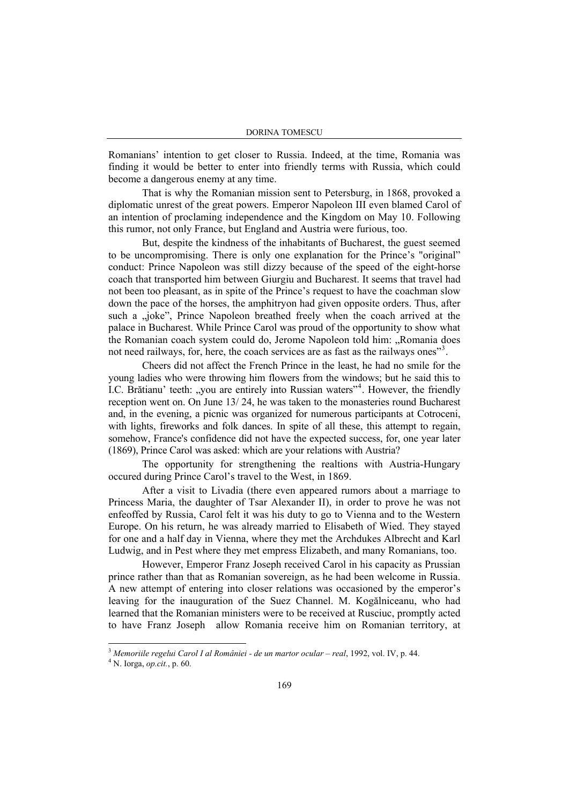Romanians' intention to get closer to Russia. Indeed, at the time, Romania was finding it would be better to enter into friendly terms with Russia, which could become a dangerous enemy at any time.

That is why the Romanian mission sent to Petersburg, in 1868, provoked a diplomatic unrest of the great powers. Emperor Napoleon III even blamed Carol of an intention of proclaming independence and the Kingdom on May 10. Following this rumor, not only France, but England and Austria were furious, too.

But, despite the kindness of the inhabitants of Bucharest, the guest seemed to be uncompromising. There is only one explanation for the Prince's "original" conduct: Prince Napoleon was still dizzy because of the speed of the eight-horse coach that transported him between Giurgiu and Bucharest. It seems that travel had not been too pleasant, as in spite of the Prince's request to have the coachman slow down the pace of the horses, the amphitryon had given opposite orders. Thus, after such a <sub>v</sub>joke", Prince Napoleon breathed freely when the coach arrived at the palace in Bucharest. While Prince Carol was proud of the opportunity to show what the Romanian coach system could do, Jerome Napoleon told him: "Romania does not need railways, for, here, the coach services are as fast as the railways ones"<sup>[3](#page-2-0)</sup>.

Cheers did not affect the French Prince in the least, he had no smile for the young ladies who were throwing him flowers from the windows; but he said this to I.C. Brătianu' teeth: "you are entirely into Russian waters"<sup>[4](#page-2-1)</sup>. However, the friendly reception went on. On June 13/ 24, he was taken to the monasteries round Bucharest and, in the evening, a picnic was organized for numerous participants at Cotroceni, with lights, fireworks and folk dances. In spite of all these, this attempt to regain, somehow, France's confidence did not have the expected success, for, one year later (1869), Prince Carol was asked: which are your relations with Austria?

The opportunity for strengthening the realtions with Austria-Hungary occured during Prince Carol's travel to the West, in 1869.

After a visit to Livadia (there even appeared rumors about a marriage to Princess Maria, the daughter of Tsar Alexander II), in order to prove he was not enfeoffed by Russia, Carol felt it was his duty to go to Vienna and to the Western Europe. On his return, he was already married to Elisabeth of Wied. They stayed for one and a half day in Vienna, where they met the Archdukes Albrecht and Karl Ludwig, and in Pest where they met empress Elizabeth, and many Romanians, too.

However, Emperor Franz Joseph received Carol in his capacity as Prussian prince rather than that as Romanian sovereign, as he had been welcome in Russia. A new attempt of entering into closer relations was occasioned by the emperor's leaving for the inauguration of the Suez Channel. M. Kogălniceanu, who had learned that the Romanian ministers were to be received at Rusciuc, promptly acted to have Franz Joseph allow Romania receive him on Romanian territory, at

<span id="page-2-0"></span><sup>&</sup>lt;sup>3</sup> Memoriile regelui Carol I al României - de un martor ocular – real, 1992, vol. IV, p. 44.

<span id="page-2-1"></span>N. Iorga, *op.cit.*, p. 60.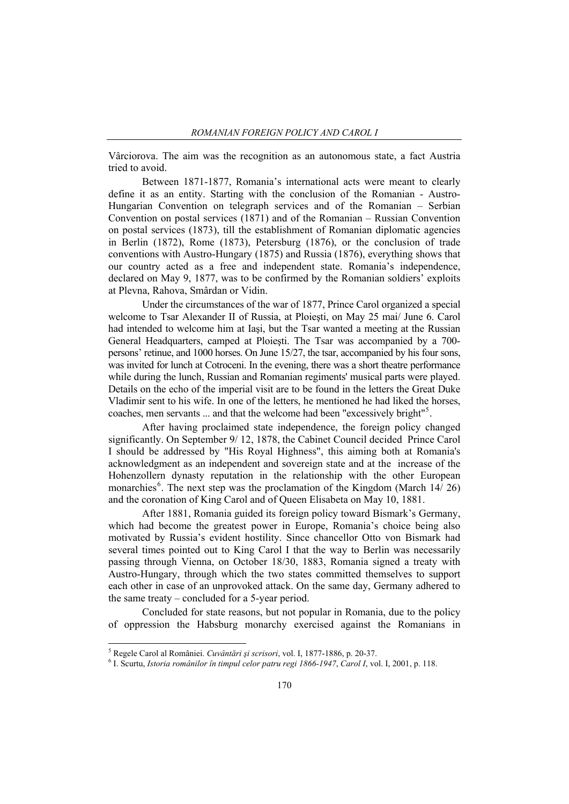Vârciorova. The aim was the recognition as an autonomous state, a fact Austria tried to avoid.

Between 1871-1877, Romania's international acts were meant to clearly define it as an entity. Starting with the conclusion of the Romanian - Austro-Hungarian Convention on telegraph services and of the Romanian – Serbian Convention on postal services (1871) and of the Romanian – Russian Convention on postal services (1873), till the establishment of Romanian diplomatic agencies in Berlin (1872), Rome (1873), Petersburg (1876), or the conclusion of trade conventions with Austro-Hungary (1875) and Russia (1876), everything shows that our country acted as a free and independent state. Romania's independence, declared on May 9, 1877, was to be confirmed by the Romanian soldiers' exploits at Plevna, Rahova, Smârdan or Vidin.

Under the circumstances of the war of 1877, Prince Carol organized a special welcome to Tsar Alexander II of Russia, at Ploiesti, on May 25 mai/ June 6. Carol had intended to welcome him at Iaşi, but the Tsar wanted a meeting at the Russian General Headquarters, camped at Ploieşti. The Tsar was accompanied by a 700 persons' retinue, and 1000 horses. On June 15/27, the tsar, accompanied by his four sons, was invited for lunch at Cotroceni. In the evening, there was a short theatre performance while during the lunch, Russian and Romanian regiments' musical parts were played. Details on the echo of the imperial visit are to be found in the letters the Great Duke Vladimir sent to his wife. In one of the letters, he mentioned he had liked the horses, coaches, men servants ... and that the welcome had been "excessively bright"<sup>[5](#page-3-0)</sup>.

After having proclaimed state independence, the foreign policy changed significantly. On September 9/ 12, 1878, the Cabinet Council decided Prince Carol I should be addressed by "His Royal Highness", this aiming both at Romania's acknowledgment as an independent and sovereign state and at the increase of the Hohenzollern dynasty reputation in the relationship with the other European monarchies<sup>[6](#page-3-1)</sup>. The next step was the proclamation of the Kingdom (March  $14/26$ ) and the coronation of King Carol and of Queen Elisabeta on May 10, 1881.

After 1881, Romania guided its foreign policy toward Bismark's Germany, which had become the greatest power in Europe, Romania's choice being also motivated by Russia's evident hostility. Since chancellor Otto von Bismark had several times pointed out to King Carol I that the way to Berlin was necessarily passing through Vienna, on October 18/30, 1883, Romania signed a treaty with Austro-Hungary, through which the two states committed themselves to support each other in case of an unprovoked attack. On the same day, Germany adhered to the same treaty – concluded for a 5-year period.

Concluded for state reasons, but not popular in Romania, due to the policy of oppression the Habsburg monarchy exercised against the Romanians in

 5 Regele Carol al României. *Cuvântări şi scrisori*, vol. I, 1877-1886, p. 20-37. 6

<span id="page-3-1"></span><span id="page-3-0"></span>I. Scurtu, *Istoria românilor în timpul celor patru regi 1866-1947*, *Carol I*, vol. I, 2001, p. 118.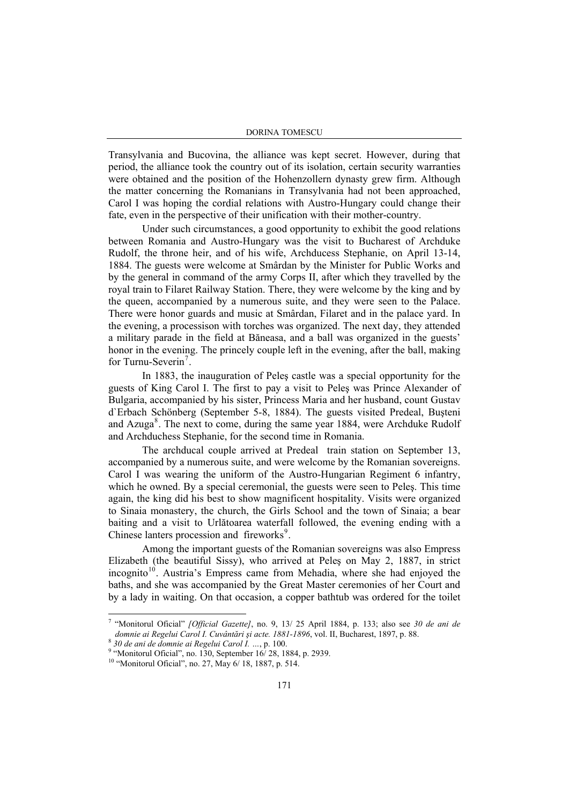Transylvania and Bucovina, the alliance was kept secret. However, during that period, the alliance took the country out of its isolation, certain security warranties were obtained and the position of the Hohenzollern dynasty grew firm. Although the matter concerning the Romanians in Transylvania had not been approached, Carol I was hoping the cordial relations with Austro-Hungary could change their fate, even in the perspective of their unification with their mother-country.

Under such circumstances, a good opportunity to exhibit the good relations between Romania and Austro-Hungary was the visit to Bucharest of Archduke Rudolf, the throne heir, and of his wife, Archducess Stephanie, on April 13-14, 1884. The guests were welcome at Smârdan by the Minister for Public Works and by the general in command of the army Corps II, after which they travelled by the royal train to Filaret Railway Station. There, they were welcome by the king and by the queen, accompanied by a numerous suite, and they were seen to the Palace. There were honor guards and music at Smârdan, Filaret and in the palace yard. In the evening, a processison with torches was organized. The next day, they attended a military parade in the field at Băneasa, and a ball was organized in the guests' honor in the evening. The princely couple left in the evening, after the ball, making for Turnu-Severin<sup>[7](#page-4-0)</sup>.

In 1883, the inauguration of Peleş castle was a special opportunity for the guests of King Carol I. The first to pay a visit to Peleş was Prince Alexander of Bulgaria, accompanied by his sister, Princess Maria and her husband, count Gustav d`Erbach Schönberg (September 5-8, 1884). The guests visited Predeal, Buşteni and Azuga $\text{A}$ . The next to come, during the same year 1[8](#page-4-1)84, were Archduke Rudolf and Archduchess Stephanie, for the second time in Romania.

The archducal couple arrived at Predeal train station on September 13, accompanied by a numerous suite, and were welcome by the Romanian sovereigns. Carol I was wearing the uniform of the Austro-Hungarian Regiment 6 infantry, which he owned. By a special ceremonial, the guests were seen to Peles. This time again, the king did his best to show magnificent hospitality. Visits were organized to Sinaia monastery, the church, the Girls School and the town of Sinaia; a bear baiting and a visit to Urlătoarea waterfall followed, the evening ending with a Chinese lanters procession and fireworks<sup>[9](#page-4-2)</sup>.

Among the important guests of the Romanian sovereigns was also Empress Elizabeth (the beautiful Sissy), who arrived at Peleş on May 2, 1887, in strict  $i$ incognito<sup>[10](#page-4-3)</sup>. Austria's Empress came from Mehadia, where she had enjoyed the baths, and she was accompanied by the Great Master ceremonies of her Court and by a lady in waiting. On that occasion, a copper bathtub was ordered for the toilet

<span id="page-4-0"></span><sup>7</sup> "Monitorul Oficial" *[Official Gazette]*, no. 9, 13/ 25 April 1884, p. 133; also see *30 de ani de domnie ai Regelui Carol I. Cuvântări și acte.* 1881-1896, vol. II, Bucharest, 1897, p. 88.<br><sup>8</sup> 30 de ani de domnie ai Regelui Carol I. …, p. 100.<br><sup>9</sup> "Monitorul Oficial", no. 130, September 16/ 28, 1884, p. 2939.

<span id="page-4-1"></span>

<span id="page-4-3"></span><span id="page-4-2"></span> $10$  "Monitorul Oficial", no. 27, May 6/ 18, 1887, p. 514.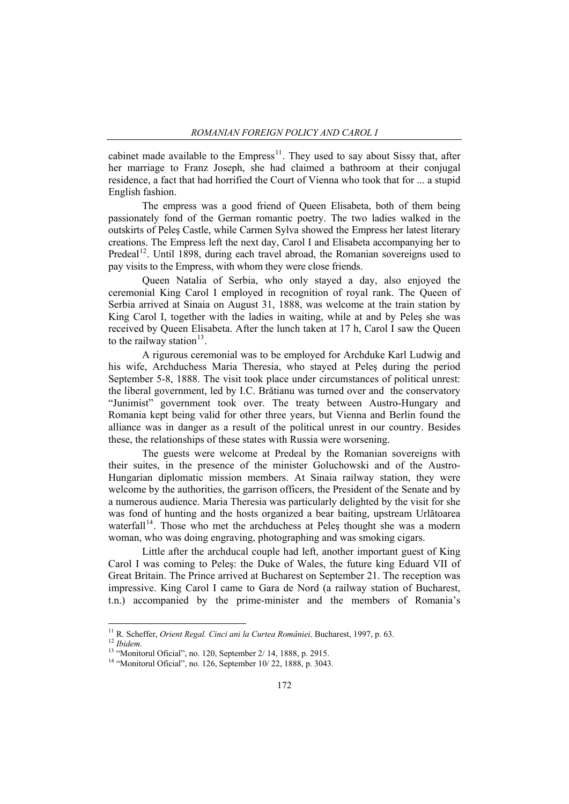cabinet made available to the Empress<sup>[11](#page-5-0)</sup>. They used to say about Sissy that, after her marriage to Franz Joseph, she had claimed a bathroom at their conjugal residence, a fact that had horrified the Court of Vienna who took that for ... a stupid English fashion.

The empress was a good friend of Queen Elisabeta, both of them being passionately fond of the German romantic poetry. The two ladies walked in the outskirts of Peleş Castle, while Carmen Sylva showed the Empress her latest literary creations. The Empress left the next day, Carol I and Elisabeta accompanying her to Predeal<sup>[12](#page-5-1)</sup>. Until 1898, during each travel abroad, the Romanian sovereigns used to pay visits to the Empress, with whom they were close friends.

Queen Natalia of Serbia, who only stayed a day, also enjoyed the ceremonial King Carol I employed in recognition of royal rank. The Queen of Serbia arrived at Sinaia on August 31, 1888, was welcome at the train station by King Carol I, together with the ladies in waiting, while at and by Peleş she was received by Queen Elisabeta. After the lunch taken at 17 h, Carol I saw the Queen to the railway station<sup>[13](#page-5-2)</sup>.

A rigurous ceremonial was to be employed for Archduke Karl Ludwig and his wife, Archduchess Maria Theresia, who stayed at Peleş during the period September 5-8, 1888. The visit took place under circumstances of political unrest: the liberal government, led by I.C. Brătianu was turned over and the conservatory "Junimist" government took over. The treaty between Austro-Hungary and Romania kept being valid for other three years, but Vienna and Berlin found the alliance was in danger as a result of the political unrest in our country. Besides these, the relationships of these states with Russia were worsening.

The guests were welcome at Predeal by the Romanian sovereigns with their suites, in the presence of the minister Goluchowski and of the Austro-Hungarian diplomatic mission members. At Sinaia railway station, they were welcome by the authorities, the garrison officers, the President of the Senate and by a numerous audience. Maria Theresia was particularly delighted by the visit for she was fond of hunting and the hosts organized a bear baiting, upstream Urlătoarea waterfall<sup>[14](#page-5-3)</sup>. Those who met the archduchess at Peles thought she was a modern woman, who was doing engraving, photographing and was smoking cigars.

Little after the archducal couple had left, another important guest of King Carol I was coming to Peleş: the Duke of Wales, the future king Eduard VII of Great Britain. The Prince arrived at Bucharest on September 21. The reception was impressive. King Carol I came to Gara de Nord (a railway station of Bucharest, t.n.) accompanied by the prime-minister and the members of Romania's

<sup>&</sup>lt;sup>11</sup> R. Scheffer, *Orient Regal, Cinci ani la Curtea României*, Bucharest, 1997, p. 63.

<span id="page-5-2"></span><span id="page-5-1"></span><span id="page-5-0"></span><sup>&</sup>lt;sup>12</sup> *Ibidem.*<br><sup>13</sup> "Monitorul Oficial", no. 120, September 2/ 14, 1888, p. 2915.<br><sup>14</sup> "Monitorul Oficial", no. 126, September 10/ 22, 1888, p. 3043.

<span id="page-5-3"></span>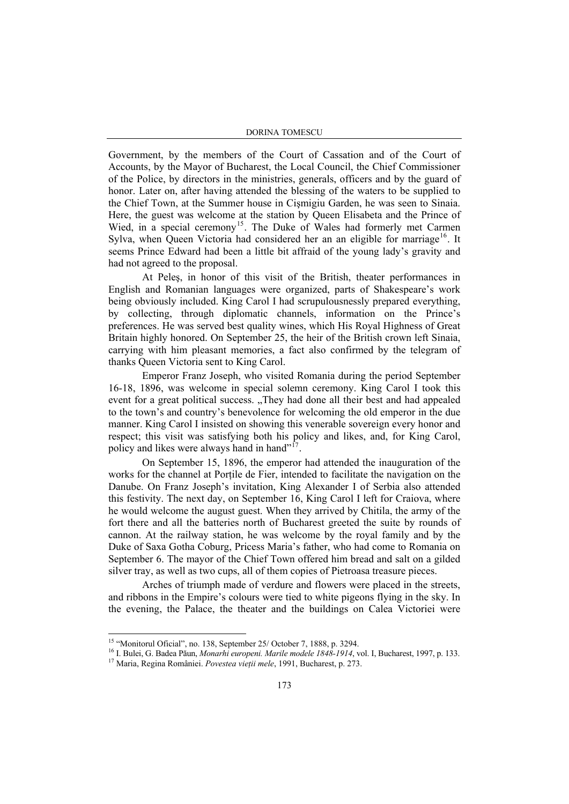DORINA TOMESCU

Government, by the members of the Court of Cassation and of the Court of Accounts, by the Mayor of Bucharest, the Local Council, the Chief Commissioner of the Police, by directors in the ministries, generals, officers and by the guard of honor. Later on, after having attended the blessing of the waters to be supplied to the Chief Town, at the Summer house in Cişmigiu Garden, he was seen to Sinaia. Here, the guest was welcome at the station by Queen Elisabeta and the Prince of Wied, in a special ceremony<sup>[15](#page-6-0)</sup>. The Duke of Wales had formerly met Carmen Sylva, when Queen Victoria had considered her an an eligible for marriage<sup>[16](#page-6-1)</sup>. It seems Prince Edward had been a little bit affraid of the young lady's gravity and had not agreed to the proposal.

At Peleş, in honor of this visit of the British, theater performances in English and Romanian languages were organized, parts of Shakespeare's work being obviously included. King Carol I had scrupulousnessly prepared everything, by collecting, through diplomatic channels, information on the Prince's preferences. He was served best quality wines, which His Royal Highness of Great Britain highly honored. On September 25, the heir of the British crown left Sinaia, carrying with him pleasant memories, a fact also confirmed by the telegram of thanks Queen Victoria sent to King Carol.

Emperor Franz Joseph, who visited Romania during the period September 16-18, 1896, was welcome in special solemn ceremony. King Carol I took this event for a great political success. "They had done all their best and had appealed to the town's and country's benevolence for welcoming the old emperor in the due manner. King Carol I insisted on showing this venerable sovereign every honor and respect; this visit was satisfying both his policy and likes, and, for King Carol, policy and likes were always hand in hand"<sup>[17](#page-6-2)</sup>

On September 15, 1896, the emperor had attended the inauguration of the works for the channel at Porțile de Fier, intended to facilitate the navigation on the Danube. On Franz Joseph's invitation, King Alexander I of Serbia also attended this festivity. The next day, on September 16, King Carol I left for Craiova, where he would welcome the august guest. When they arrived by Chitila, the army of the fort there and all the batteries north of Bucharest greeted the suite by rounds of cannon. At the railway station, he was welcome by the royal family and by the Duke of Saxa Gotha Coburg, Pricess Maria's father, who had come to Romania on September 6. The mayor of the Chief Town offered him bread and salt on a gilded silver tray, as well as two cups, all of them copies of Pietroasa treasure pieces.

Arches of triumph made of verdure and flowers were placed in the streets, and ribbons in the Empire's colours were tied to white pigeons flying in the sky. In the evening, the Palace, the theater and the buildings on Calea Victoriei were

<sup>&</sup>lt;sup>15</sup> "Monitorul Oficial", no. 138, September 25/ October 7, 1888, p. 3294.

<span id="page-6-2"></span><span id="page-6-1"></span><span id="page-6-0"></span><sup>&</sup>lt;sup>16</sup> I. Bulei, G. Badea Păun, *Monarhi europeni. Marile modele 1848-1914*, vol. I, Bucharest, 1997, p. 133.<br><sup>17</sup> Maria, Regina României. *Povestea vieții mele*, 1991, Bucharest, p. 273.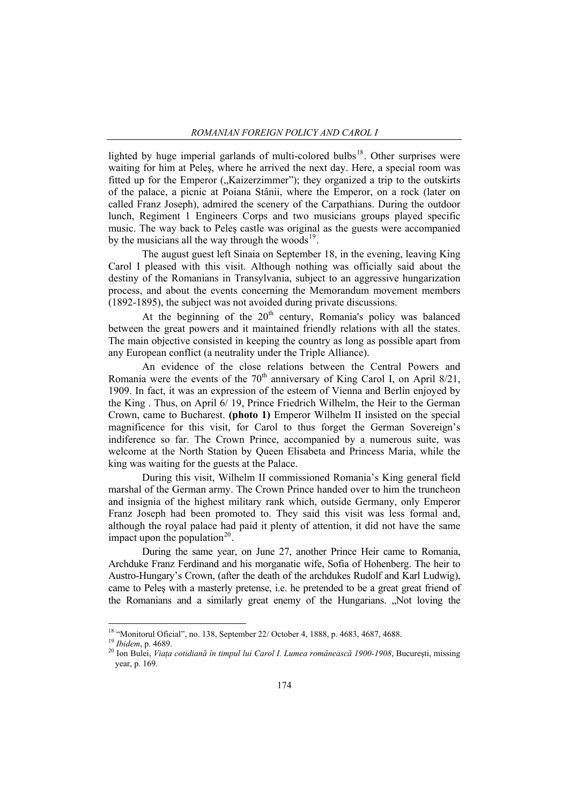lighted by huge imperial garlands of multi-colored bulbs<sup>[18](#page-7-0)</sup>. Other surprises were waiting for him at Peles, where he arrived the next day. Here, a special room was fitted up for the Emperor ("Kaizerzimmer"); they organized a trip to the outskirts of the palace, a picnic at Poiana Stânii, where the Emperor, on a rock (later on called Franz Joseph), admired the scenery of the Carpathians. During the outdoor lunch, Regiment 1 Engineers Corps and two musicians groups played specific music. The way back to Peleş castle was original as the guests were accompanied by the musicians all the way through the woods $19$ .

The august guest left Sinaia on September 18, in the evening, leaving King Carol I pleased with this visit. Although nothing was officially said about the destiny of the Romanians in Transylvania, subject to an aggressive hungarization process, and about the events concerning the Memorandum movement members (1892-1895), the subject was not avoided during private discussions.

At the beginning of the  $20<sup>th</sup>$  century, Romania's policy was balanced between the great powers and it maintained friendly relations with all the states. The main objective consisted in keeping the country as long as possible apart from any European conflict (a neutrality under the Triple Alliance).

An evidence of the close relations between the Central Powers and Romania were the events of the  $70<sup>th</sup>$  anniversary of King Carol I, on April 8/21, 1909. In fact, it was an expression of the esteem of Vienna and Berlin enjoyed by the King . Thus, on April 6/ 19, Prince Friedrich Wilhelm, the Heir to the German Crown, came to Bucharest. **(photo 1)** Emperor Wilhelm II insisted on the special magnificence for this visit, for Carol to thus forget the German Sovereign's indiference so far. The Crown Prince, accompanied by a numerous suite, was welcome at the North Station by Queen Elisabeta and Princess Maria, while the king was waiting for the guests at the Palace.

During this visit, Wilhelm II commissioned Romania's King general field marshal of the German army. The Crown Prince handed over to him the truncheon and insignia of the highest military rank which, outside Germany, only Emperor Franz Joseph had been promoted to. They said this visit was less formal and, although the royal palace had paid it plenty of attention, it did not have the same impact upon the population<sup>[20](#page-7-2)</sup>.

During the same year, on June 27, another Prince Heir came to Romania, Archduke Franz Ferdinand and his morganatic wife, Sofia of Hohenberg. The heir to Austro-Hungary's Crown, (after the death of the archdukes Rudolf and Karl Ludwig), came to Peleş with a masterly pretense, i.e. he pretended to be a great great friend of the Romanians and a similarly great enemy of the Hungarians. "Not loving the

<span id="page-7-0"></span><sup>&</sup>lt;sup>18</sup> "Monitorul Oficial", no. 138, September 22/ October 4, 1888, p. 4683, 4687, 4688.

<span id="page-7-2"></span><span id="page-7-1"></span>

<sup>&</sup>lt;sup>19</sup> Ibidem, p. 4689.<br><sup>20</sup> Ion Bulei, *Viața cotidiană în timpul lui Carol I. Lumea românească 1900-1908*, București, missing year, p. 169.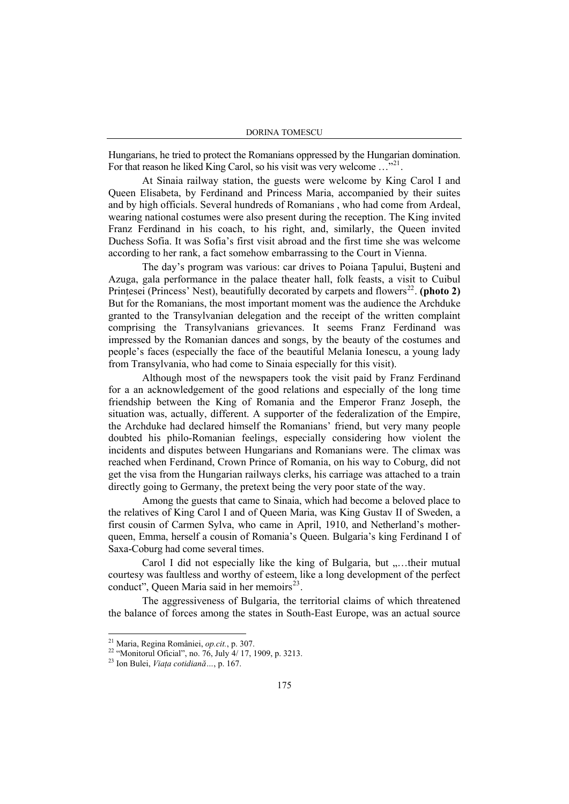Hungarians, he tried to protect the Romanians oppressed by the Hungarian domination. For that reason he liked King Carol, so his visit was very welcome ...<sup>7[21](#page-8-0)</sup>.

At Sinaia railway station, the guests were welcome by King Carol I and Queen Elisabeta, by Ferdinand and Princess Maria, accompanied by their suites and by high officials. Several hundreds of Romanians , who had come from Ardeal, wearing national costumes were also present during the reception. The King invited Franz Ferdinand in his coach, to his right, and, similarly, the Queen invited Duchess Sofia. It was Sofia's first visit abroad and the first time she was welcome according to her rank, a fact somehow embarrassing to the Court in Vienna.

The day's program was various: car drives to Poiana Ţapului, Buşteni and Azuga, gala performance in the palace theater hall, folk feasts, a visit to Cuibul Printesei (Princess' Nest), beautifully decorated by carpets and flowers<sup>[22](#page-8-1)</sup>. (photo 2) But for the Romanians, the most important moment was the audience the Archduke granted to the Transylvanian delegation and the receipt of the written complaint comprising the Transylvanians grievances. It seems Franz Ferdinand was impressed by the Romanian dances and songs, by the beauty of the costumes and people's faces (especially the face of the beautiful Melania Ionescu, a young lady from Transylvania, who had come to Sinaia especially for this visit).

Although most of the newspapers took the visit paid by Franz Ferdinand for a an acknowledgement of the good relations and especially of the long time friendship between the King of Romania and the Emperor Franz Joseph, the situation was, actually, different. A supporter of the federalization of the Empire, the Archduke had declared himself the Romanians' friend, but very many people doubted his philo-Romanian feelings, especially considering how violent the incidents and disputes between Hungarians and Romanians were. The climax was reached when Ferdinand, Crown Prince of Romania, on his way to Coburg, did not get the visa from the Hungarian railways clerks, his carriage was attached to a train directly going to Germany, the pretext being the very poor state of the way.

Among the guests that came to Sinaia, which had become a beloved place to the relatives of King Carol I and of Queen Maria, was King Gustav II of Sweden, a first cousin of Carmen Sylva, who came in April, 1910, and Netherland's motherqueen, Emma, herself a cousin of Romania's Queen. Bulgaria's king Ferdinand I of Saxa-Coburg had come several times.

Carol I did not especially like the king of Bulgaria, but "...their mutual courtesy was faultless and worthy of esteem, like a long development of the perfect conduct", Queen Maria said in her memoirs $^{23}$  $^{23}$  $^{23}$ .

The aggressiveness of Bulgaria, the territorial claims of which threatened the balance of forces among the states in South-East Europe, was an actual source

<span id="page-8-0"></span><sup>&</sup>lt;sup>21</sup> Maria, Regina României, *op.cit.*, p. 307.

<sup>&</sup>lt;sup>22</sup> "Monitorul Oficial", no. 76, July 4/ 17, 1909, p. 3213.

<span id="page-8-2"></span><span id="page-8-1"></span><sup>23</sup> Ion Bulei, *Viaţa cotidiană…*, p. 167.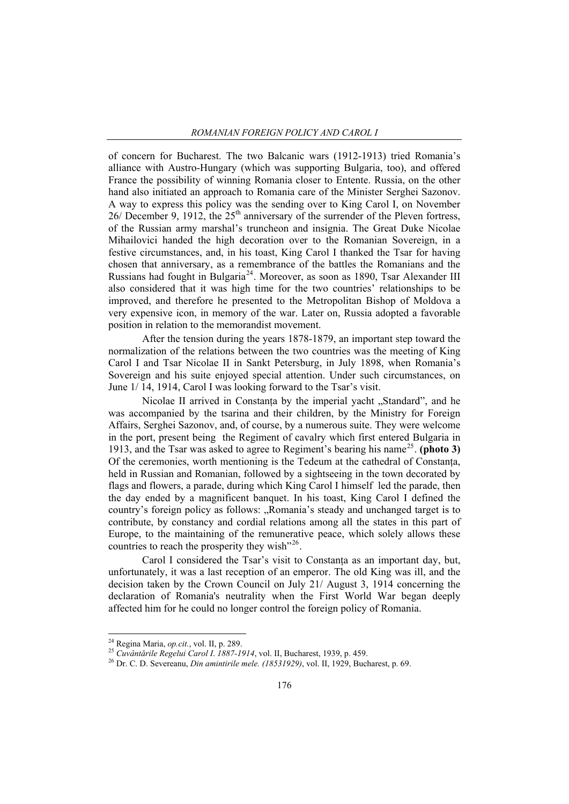of concern for Bucharest. The two Balcanic wars (1912-1913) tried Romania's alliance with Austro-Hungary (which was supporting Bulgaria, too), and offered France the possibility of winning Romania closer to Entente. Russia, on the other hand also initiated an approach to Romania care of the Minister Serghei Sazonov. A way to express this policy was the sending over to King Carol I, on November  $26$ / December 9, 1912, the  $25<sup>th</sup>$  anniversary of the surrender of the Pleven fortress, of the Russian army marshal's truncheon and insignia. The Great Duke Nicolae Mihailovici handed the high decoration over to the Romanian Sovereign, in a festive circumstances, and, in his toast, King Carol I thanked the Tsar for having chosen that anniversary, as a remembrance of the battles the Romanians and the Russians had fought in Bulgaria<sup>[24](#page-9-0)</sup>. Moreover, as soon as 1890, Tsar Alexander III also considered that it was high time for the two countries' relationships to be improved, and therefore he presented to the Metropolitan Bishop of Moldova a very expensive icon, in memory of the war. Later on, Russia adopted a favorable position in relation to the memorandist movement.

After the tension during the years 1878-1879, an important step toward the normalization of the relations between the two countries was the meeting of King Carol I and Tsar Nicolae II in Sankt Petersburg, in July 1898, when Romania's Sovereign and his suite enjoyed special attention. Under such circumstances, on June 1/ 14, 1914, Carol I was looking forward to the Tsar's visit.

Nicolae II arrived in Constanța by the imperial yacht "Standard", and he was accompanied by the tsarina and their children, by the Ministry for Foreign Affairs, Serghei Sazonov, and, of course, by a numerous suite. They were welcome in the port, present being the Regiment of cavalry which first entered Bulgaria in 1913, and the Tsar was asked to agree to Regiment's bearing his name[25](#page-9-1). **(photo 3)** Of the ceremonies, worth mentioning is the Tedeum at the cathedral of Constanţa, held in Russian and Romanian, followed by a sightseeing in the town decorated by flags and flowers, a parade, during which King Carol I himself led the parade, then the day ended by a magnificent banquet. In his toast, King Carol I defined the country's foreign policy as follows: "Romania's steady and unchanged target is to contribute, by constancy and cordial relations among all the states in this part of Europe, to the maintaining of the remunerative peace, which solely allows these countries to reach the prosperity they wish"<sup>[26](#page-9-2)</sup>.

Carol I considered the Tsar's visit to Constanta as an important day, but, unfortunately, it was a last reception of an emperor. The old King was ill, and the decision taken by the Crown Council on July 21/ August 3, 1914 concerning the declaration of Romania's neutrality when the First World War began deeply affected him for he could no longer control the foreign policy of Romania.

 $^{24}$  Regina Maria, *op.cit.*, vol. II, p. 289.

<span id="page-9-2"></span><span id="page-9-1"></span>

<span id="page-9-0"></span><sup>&</sup>lt;sup>25</sup> Cuvântările Regelui Carol I. 1887-1914, vol. II, Bucharest, 1939, p. 459.<br><sup>26</sup> Dr. C. D. Severeanu, *Din amintirile mele. (18531929)*, vol. II, 1929, Bucharest, p. 69.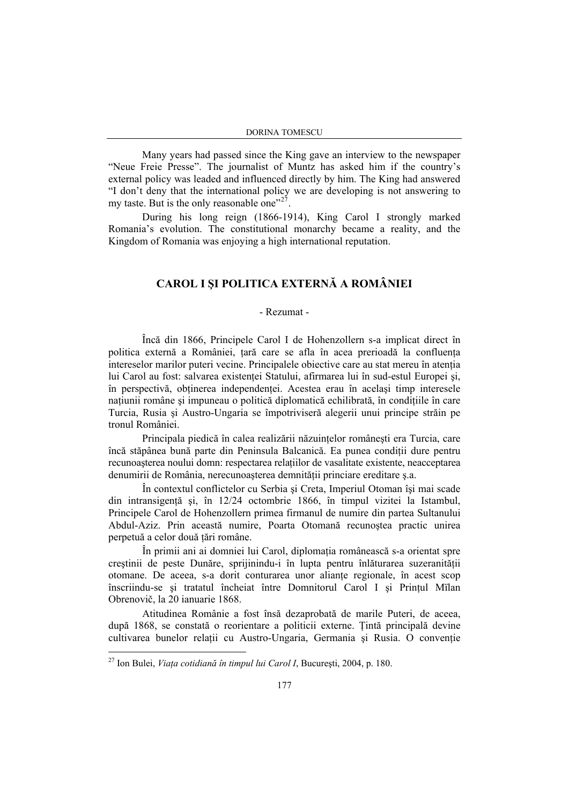Many years had passed since the King gave an interview to the newspaper "Neue Freie Presse". The journalist of Muntz has asked him if the country's external policy was leaded and influenced directly by him. The King had answered "I don't deny that the international policy we are developing is not answering to my taste. But is the only reasonable one"<sup>[27](#page-10-0)</sup>.

During his long reign (1866-1914), King Carol I strongly marked Romania's evolution. The constitutional monarchy became a reality, and the Kingdom of Romania was enjoying a high international reputation.

## **CAROL I ŞI POLITICA EXTERNĂ A ROMÂNIEI**

## - Rezumat -

Încă din 1866, Principele Carol I de Hohenzollern s-a implicat direct în politica externă a României, tară care se afla în acea prerioadă la confluenta intereselor marilor puteri vecine. Principalele obiective care au stat mereu în atentia lui Carol au fost: salvarea existenței Statului, afirmarea lui în sud-estul Europei și, în perspectivă, obţinerea independenţei. Acestea erau în acelaşi timp interesele naţiunii române şi impuneau o politică diplomatică echilibrată, în condiţiile în care Turcia, Rusia şi Austro-Ungaria se împotriviseră alegerii unui principe străin pe tronul României.

Principala piedică în calea realizării năzuinţelor româneşti era Turcia, care încă stăpânea bună parte din Peninsula Balcanică. Ea punea condiții dure pentru recunoaşterea noului domn: respectarea relaţiilor de vasalitate existente, neacceptarea denumirii de România, nerecunoasterea demnității princiare ereditare s.a.

În contextul conflictelor cu Serbia şi Creta, Imperiul Otoman îşi mai scade din intransigenţă şi, în 12/24 octombrie 1866, în timpul vizitei la Istambul, Principele Carol de Hohenzollern primea firmanul de numire din partea Sultanului Abdul-Aziz. Prin această numire, Poarta Otomană recunoştea practic unirea perpetuă a celor două ţări române.

În primii ani ai domniei lui Carol, diplomația românească s-a orientat spre creştinii de peste Dunăre, sprijinindu-i în lupta pentru înlăturarea suzeranităţii otomane. De aceea, s-a dorit conturarea unor aliante regionale, în acest scop înscriindu-se şi tratatul încheiat între Domnitorul Carol I şi Prinţul Mïlan Obrenovič, la 20 ianuarie 1868.

Atitudinea Românie a fost însă dezaprobată de marile Puteri, de aceea, după 1868, se constată o reorientare a politicii externe. Ţintă principală devine cultivarea bunelor relatii cu Austro-Ungaria, Germania și Rusia. O conventie

<span id="page-10-0"></span><sup>27</sup> Ion Bulei, *Viaţa cotidiană în timpul lui Carol I*, Bucureşti, 2004, p. 180.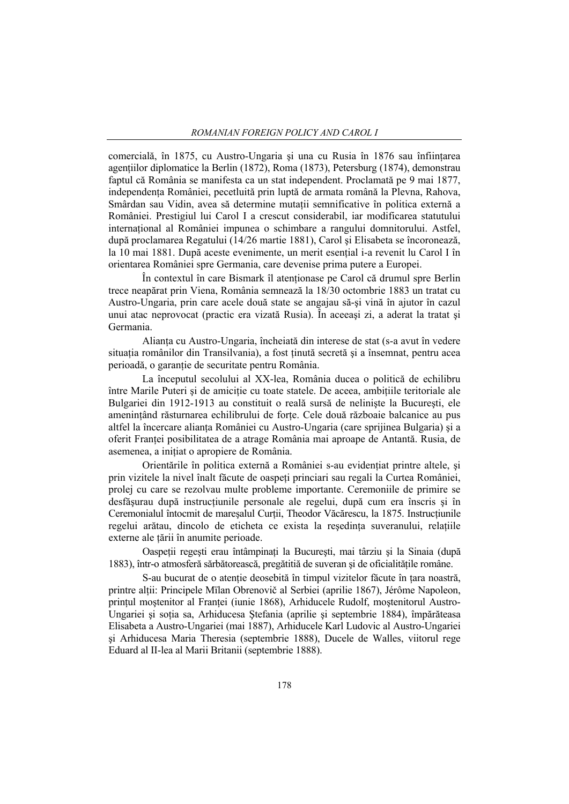comercială, în 1875, cu Austro-Ungaria și una cu Rusia în 1876 sau înființarea agentiilor diplomatice la Berlin (1872), Roma (1873), Petersburg (1874), demonstrau faptul că România se manifesta ca un stat independent. Proclamată pe 9 mai 1877, independenţa României, pecetluită prin luptă de armata română la Plevna, Rahova, Smârdan sau Vidin, avea să determine mutații semnificative în politica externă a României. Prestigiul lui Carol I a crescut considerabil, iar modificarea statutului international al României impunea o schimbare a rangului domnitorului. Astfel, după proclamarea Regatului (14/26 martie 1881), Carol şi Elisabeta se încoronează, la 10 mai 1881. După aceste evenimente, un merit esențial i-a revenit lu Carol I în orientarea României spre Germania, care devenise prima putere a Europei.

În contextul în care Bismark îl atentionase pe Carol că drumul spre Berlin trece neapărat prin Viena, România semnează la 18/30 octombrie 1883 un tratat cu Austro-Ungaria, prin care acele două state se angajau să-şi vină în ajutor în cazul unui atac neprovocat (practic era vizată Rusia). În aceeaşi zi, a aderat la tratat şi Germania.

Alianta cu Austro-Ungaria, încheiată din interese de stat (s-a avut în vedere situația românilor din Transilvania), a fost ținută secretă și a însemnat, pentru acea perioadă, o garanție de securitate pentru România.

La începutul secolului al XX-lea, România ducea o politică de echilibru între Marile Puteri și de amicitie cu toate statele. De aceea, ambițiile teritoriale ale Bulgariei din 1912-1913 au constituit o reală sursă de nelinişte la Bucureşti, ele amenintând răsturnarea echilibrului de forte. Cele două războaie balcanice au pus altfel la încercare alianţa României cu Austro-Ungaria (care sprijinea Bulgaria) şi a oferit Franţei posibilitatea de a atrage România mai aproape de Antantă. Rusia, de asemenea, a iniţiat o apropiere de România.

Orientările în politica externă a României s-au evidențiat printre altele, și prin vizitele la nivel înalt făcute de oaspeți princiari sau regali la Curtea României, prolej cu care se rezolvau multe probleme importante. Ceremoniile de primire se desfăşurau după instrucţiunile personale ale regelui, după cum era înscris şi în Ceremonialul întocmit de mareșalul Curții, Theodor Văcărescu, la 1875. Instrucțiunile regelui arătau, dincolo de eticheta ce exista la resedinta suveranului, relatiile externe ale ţării în anumite perioade.

Oaspeții regești erau întâmpinați la București, mai târziu și la Sinaia (după 1883), într-o atmosferă sărbătorească, pregătitiă de suveran și de oficialitățile române.

S-au bucurat de o atenție deosebită în timpul vizitelor făcute în țara noastră, printre alţii: Principele Mїlan Obrenovič al Serbiei (aprilie 1867), Jérôme Napoleon, prințul moștenitor al Franței (iunie 1868), Arhiducele Rudolf, moștenitorul Austro-Ungariei și soția sa, Arhiducesa Ștefania (aprilie și septembrie 1884), împărăteasa Elisabeta a Austro-Ungariei (mai 1887), Arhiducele Karl Ludovic al Austro-Ungariei şi Arhiducesa Maria Theresia (septembrie 1888), Ducele de Walles, viitorul rege Eduard al II-lea al Marii Britanii (septembrie 1888).